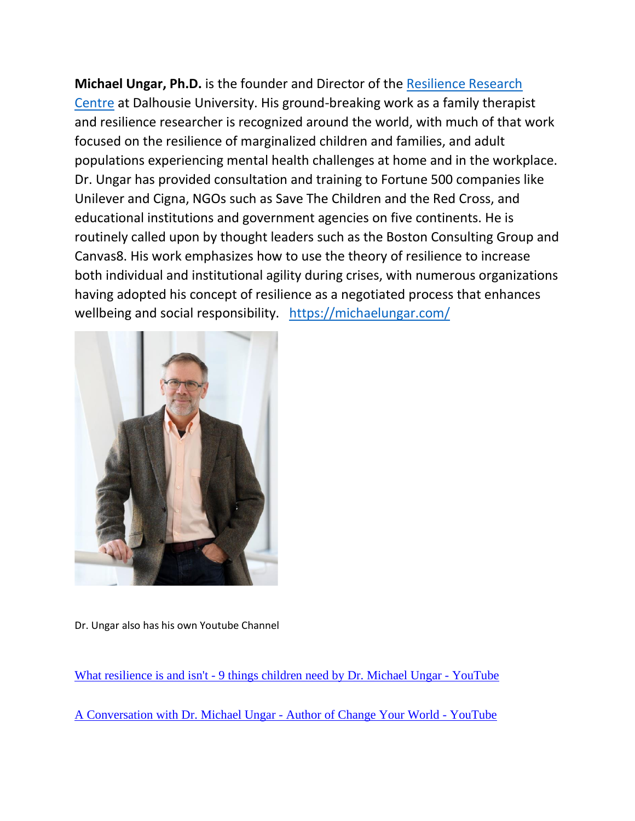**Michael Ungar, Ph.D.** is the founder and Director of the [Resilience Research](https://resilienceresearch.org/)  [Centre](https://resilienceresearch.org/) at Dalhousie University. His ground-breaking work as a family therapist and resilience researcher is recognized around the world, with much of that work focused on the resilience of marginalized children and families, and adult populations experiencing mental health challenges at home and in the workplace. Dr. Ungar has provided consultation and training to Fortune 500 companies like Unilever and Cigna, NGOs such as Save The Children and the Red Cross, and educational institutions and government agencies on five continents. He is routinely called upon by thought leaders such as the Boston Consulting Group and Canvas8. His work emphasizes how to use the theory of resilience to increase both individual and institutional agility during crises, with numerous organizations having adopted his concept of resilience as a negotiated process that enhances wellbeing and social responsibility. <https://michaelungar.com/>



Dr. Ungar also has his own Youtube Channel

What resilience is and isn't - [9 things children need by Dr. Michael Ungar -](https://www.youtube.com/watch?v=7tWXHhPI5lo) YouTube

[A Conversation with Dr. Michael Ungar -](https://www.youtube.com/watch?v=42040J-P-Tw) Author of Change Your World - YouTube